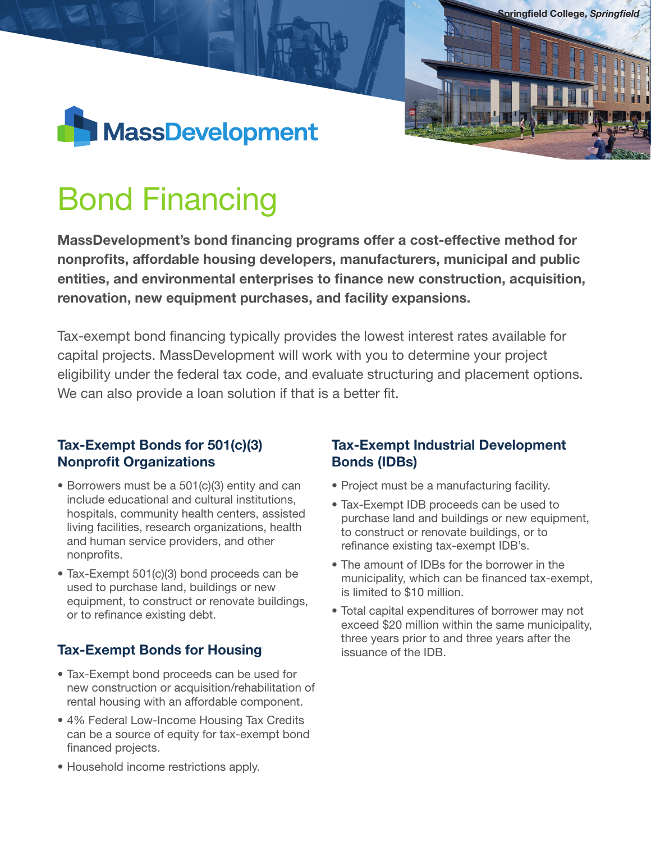

# Bond Financing

MassDevelopment's bond financing programs offer a cost-effective method for nonprofits, affordable housing developers, manufacturers, municipal and public entities, and environmental enterprises to finance new construction, acquisition, renovation, new equipment purchases, and facility expansions.

Tax-exempt bond financing typically provides the lowest interest rates available for capital projects. MassDevelopment will work with you to determine your project eligibility under the federal tax code, and evaluate structuring and placement options. We can also provide a loan solution if that is a better fit.

## Tax-Exempt Bonds for 501(c)(3) Nonprofit Organizations

- Borrowers must be a 501(c)(3) entity and can include educational and cultural institutions, hospitals, community health centers, assisted living facilities, research organizations, health and human service providers, and other nonprofits.
- Tax-Exempt 501(c)(3) bond proceeds can be used to purchase land, buildings or new equipment, to construct or renovate buildings, or to refinance existing debt.

## Tax-Exempt Bonds for Housing

- Tax-Exempt bond proceeds can be used for new construction or acquisition/rehabilitation of rental housing with an affordable component.
- 4% Federal Low-Income Housing Tax Credits can be a source of equity for tax-exempt bond financed projects.
- Household income restrictions apply.

# Tax-Exempt Industrial Development Bonds (IDBs)

Springfield College, *Springfield*

- Project must be a manufacturing facility.
- Tax-Exempt IDB proceeds can be used to purchase land and buildings or new equipment, to construct or renovate buildings, or to refinance existing tax-exempt IDB's.
- The amount of IDBs for the borrower in the municipality, which can be financed tax-exempt, is limited to \$10 million.
- Total capital expenditures of borrower may not exceed \$20 million within the same municipality, three years prior to and three years after the issuance of the IDB.